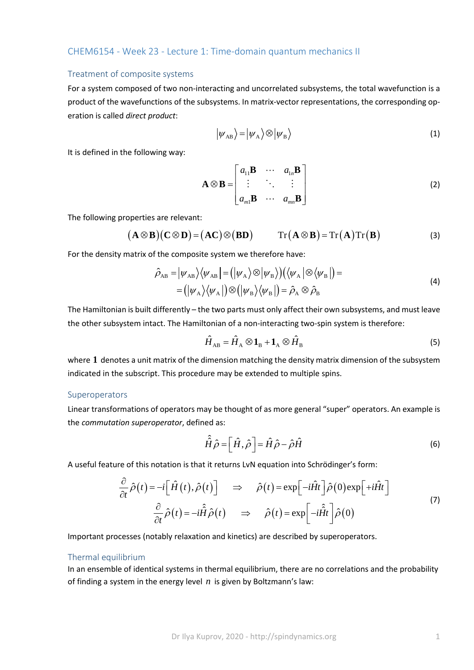## CHEM6154 - Week 23 - Lecture 1: Time-domain quantum mechanics II

### Treatment of composite systems

For a system composed of two non-interacting and uncorrelated subsystems, the total wavefunction is a product of the wavefunctions of the subsystems. In matrix-vector representations, the corresponding operation is called *direct product*:

$$
|\psi_{AB}\rangle = |\psi_{A}\rangle \otimes |\psi_{B}\rangle \tag{1}
$$

It is defined in the following way:

$$
\mathbf{A} \otimes \mathbf{B} = \begin{bmatrix} a_{11} \mathbf{B} & \cdots & a_{1n} \mathbf{B} \\ \vdots & \ddots & \vdots \\ a_{m1} \mathbf{B} & \cdots & a_{mn} \mathbf{B} \end{bmatrix}
$$
 (2)

The following properties are relevant:

$$
(\mathbf{A} \otimes \mathbf{B})(\mathbf{C} \otimes \mathbf{D}) = (\mathbf{A}\mathbf{C}) \otimes (\mathbf{B}\mathbf{D}) \qquad \text{Tr}(\mathbf{A} \otimes \mathbf{B}) = \text{Tr}(\mathbf{A}) \text{Tr}(\mathbf{B}) \tag{3}
$$

For the density matrix of the composite system we therefore have:

$$
\hat{\rho}_{AB} = |\psi_{AB}\rangle\langle\psi_{AB}| = (|\psi_A\rangle\otimes|\psi_B\rangle)(\langle\psi_A|\otimes\langle\psi_B|) =
$$
\n
$$
= (|\psi_A\rangle\langle\psi_A|)\otimes(|\psi_B\rangle\langle\psi_B|) = \hat{\rho}_A\otimes\hat{\rho}_B
$$
\n(4)

The Hamiltonian is built differently – the two parts must only affect their own subsystems, and must leave the other subsystem intact. The Hamiltonian of a non-interacting two-spin system is therefore:

$$
\hat{H}_{AB} = \hat{H}_A \otimes \mathbf{1}_B + \mathbf{1}_A \otimes \hat{H}_B
$$
\n(5)

where **1** denotes a unit matrix of the dimension matching the density matrix dimension of the subsystem indicated in the subscript. This procedure may be extended to multiple spins.

### Superoperators

Linear transformations of operators may be thought of as more general "super" operators. An example is the *commutation superoperator*, defined as:

$$
\hat{\hat{H}}\hat{\rho} = \left[\hat{H}, \hat{\rho}\right] = \hat{H}\hat{\rho} - \hat{\rho}\hat{H}
$$
\n(6)

A useful feature of this notation is that it returns LvN equation into Schrödinger's form:

$$
\frac{\partial}{\partial t} \hat{\rho}(t) = -i \left[ \hat{H}(t), \hat{\rho}(t) \right] \Rightarrow \hat{\rho}(t) = \exp \left[ -i \hat{H} t \right] \hat{\rho}(0) \exp \left[ +i \hat{H} t \right]
$$
\n
$$
\frac{\partial}{\partial t} \hat{\rho}(t) = -i \hat{H} \hat{\rho}(t) \Rightarrow \hat{\rho}(t) = \exp \left[ -i \hat{H} t \right] \hat{\rho}(0)
$$
\n(7)

Important processes (notably relaxation and kinetics) are described by superoperators.

### Thermal equilibrium

In an ensemble of identical systems in thermal equilibrium, there are no correlations and the probability of finding a system in the energy level *n* is given by Boltzmann's law: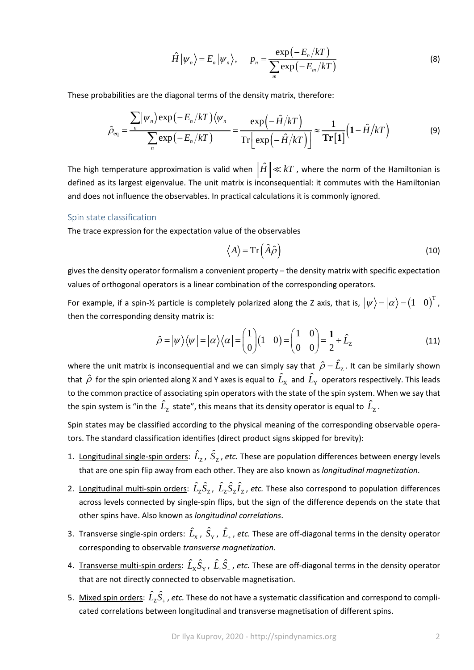$$
\hat{H}|\psi_n\rangle = E_n|\psi_n\rangle, \qquad p_n = \frac{\exp(-E_n/kT)}{\sum_{m} \exp(-E_m/kT)}
$$
(8)

These probabilities are the diagonal terms of the density matrix, therefore:

$$
\hat{\rho}_{\text{eq}} = \frac{\sum_{n} |\psi_{n}\rangle \exp\left(-E_{n}/kT\right) \langle \psi_{n}|}{\sum_{n} \exp\left(-E_{n}/kT\right)} = \frac{\exp\left(-\hat{H}/kT\right)}{\operatorname{Tr}\left[\exp\left(-\hat{H}/kT\right)\right]} \approx \frac{1}{\operatorname{Tr}\left[1\right]} \left(1 - \hat{H}/kT\right) \tag{9}
$$

The high temperature approximation is valid when  $\|\hat{H}\| \ll kT$  , where the norm of the Hamiltonian is defined as its largest eigenvalue. The unit matrix is inconsequential: it commutes with the Hamiltonian and does not influence the observables. In practical calculations it is commonly ignored.

#### Spin state classification

The trace expression for the expectation value of the observables

$$
\langle A \rangle = \operatorname{Tr} \left( \hat{A} \hat{\rho} \right) \tag{10}
$$

gives the density operator formalism a convenient property – the density matrix with specific expectation values of orthogonal operators is a linear combination of the corresponding operators.

For example, if a spin-½ particle is completely polarized along the Z axis, that is,  $\ket{\psi}{=}\ket{\alpha}{=}\begin{pmatrix}1&0\end{pmatrix}^{\text{T}}$ , then the corresponding density matrix is:

$$
\hat{\rho} = |\psi\rangle\langle\psi| = |\alpha\rangle\langle\alpha| = \begin{pmatrix} 1 \\ 0 \end{pmatrix} (1 \quad 0) = \begin{pmatrix} 1 & 0 \\ 0 & 0 \end{pmatrix} = \frac{1}{2} + \hat{L}_z \tag{11}
$$

where the unit matrix is inconsequential and we can simply say that  $\hat{\rho}=\hat{L}_{\rm z}$  . It can be similarly shown that  $\hat{\rho}$  for the spin oriented along X and Y axes is equal to  $\hat{L}_x$  and  $\hat{L}_y$  operators respectively. This leads to the common practice of associating spin operators with the state of the spin system. When we say that the spin system is "in the  $\hat{L}_{\rm Z}^{\rm}$  state", this means that its density operator is equal to  $\hat{L}_{\rm Z}^{\rm}$ .

Spin states may be classified according to the physical meaning of the corresponding observable operators. The standard classification identifies (direct product signs skipped for brevity):

- 1. Longitudinal single-spin orders:  $\hat{L}_{\rm z}$ ,  $\hat{S}_{\rm z}$ , etc. These are population differences between energy levels that are one spin flip away from each other. They are also known as *longitudinal magnetization*.
- 2. Longitudinal multi-spin orders:  $\hat{L}_z \hat{S}_z$ ,  $\hat{L}_z \hat{S}_z \hat{I}_z$ , etc. These also correspond to population differences across levels connected by single-spin flips, but the sign of the difference depends on the state that other spins have. Also known as *longitudinal correlations*.
- 3. Transverse single-spin orders:  $\hat{L}_\chi$ ,  $\hat{S}_\Upsilon$ ,  $\hat{L}_+$ , etc. These are off-diagonal terms in the density operator corresponding to observable *transverse magnetization*.
- 4. Transverse multi-spin orders:  $\hat{L}_\chi \hat{S}_\Upsilon$ ,  $\hat{L}_+\hat{S}_-$ , etc. These are off-diagonal terms in the density operator that are not directly connected to observable magnetisation.
- 5.  $\pm$  <u>Mixed spin orders</u>:  $\hat{L}_Z\hat{S}_+$  , *etc.* These do not have a systematic classification and correspond to complicated correlations between longitudinal and transverse magnetisation of different spins.